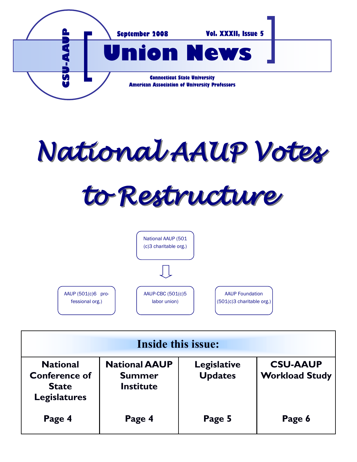

*National AAUP Votes* 

*to Restructure*



| <b>Inside this issue:</b>                                                      |                                                           |                                      |                                          |
|--------------------------------------------------------------------------------|-----------------------------------------------------------|--------------------------------------|------------------------------------------|
| <b>National</b><br><b>Conference of</b><br><b>State</b><br><b>Legislatures</b> | <b>National AAUP</b><br><b>Summer</b><br><b>Institute</b> | <b>Legislative</b><br><b>Updates</b> | <b>CSU-AAUP</b><br><b>Workload Study</b> |
| Page 4                                                                         | Page 4                                                    | Page 5                               | Page 6                                   |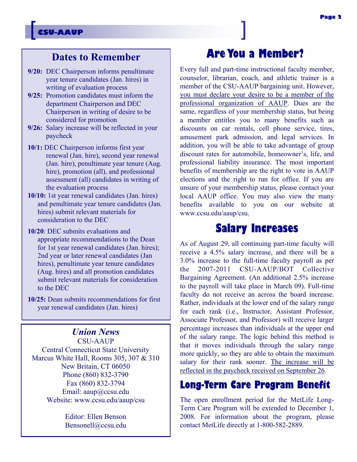## **Dates to Remember**

- **9/20:** DEC Chairperson informs penultimate year tenure candidates (Jan. hires) in writing of evaluation process
- **9/25:** Promotion candidates must inform the department Chairperson and DEC Chairperson in writing of desire to be considered for promotion
- **9/26:** Salary increase will be reflected in your paycheck
- **10/1:** DEC Chairperson informs first year renewal (Jan. hire), second year renewal (Jan. hire), penultimate year tenure (Aug. hire), promotion (all), and professional assessment (all) candidates in writing of the evaluation process
- **10/10:** 1st year renewal candidates (Jan. hires) and penultimate year tenure candidates (Jan. hires) submit relevant materials for consideration to the DEC
- **10/20**: DEC submits evaluations and appropriate recommendations to the Dean for 1st year renewal candidates (Jan. hires); 2nd year or later renewal candidates (Jan hires), penultimate year tenure candidates (Aug. hires) and all promotion candidates submit relevant materials for consideration to the DEC
- **10/25:** Dean submits recommendations for first year renewal candidates (Jan. hires)

#### *Union News*

CSU-AAUP Central Connecticut State University Marcus White Hall, Rooms 305, 307 & 310 New Britain, CT 06050 Phone (860) 832-3790 Fax (860) 832-3794 Email: aaup@ccsu.edu Website: www.ccsu.edu/aaup/csu

> Editor: Ellen Benson Bensonell@ccsu.edu

# **Are You a Member?**

Every full and part-time instructional faculty member, counselor, librarian, coach, and athletic trainer is a member of the CSU-AAUP bargaining unit. However, you must declare your desire to be a member of the professional organization of AAUP. Dues are the same, regardless of your membership status, but being a member entitles you to many benefits such as discounts on car rentals, cell phone service, tires, amusement park admission, and legal services. In addition, you will be able to take advantage of group discount rates for automobile, homeowner's, life, and professional liability insurance. The most important benefits of membership are the right to vote in AAUP elections and the right to run for office. If you are unsure of your membership status, please contact your local AAUP office. You may also view the many benefits available to you on our website at www.ccsu.edu/aaup/csu.

## **Salary Increases**

As of August 29, all continuing part-time faculty will receive a 4.5% salary increase, and there will be a 3.0% increase to the full-time faculty payroll as per the 2007-2011 CSU-AAUP/BOT Collective Bargaining Agreement. (An additional 2.5% increase to the payroll will take place in March 09). Full-time faculty do not receive an across the board increase. Rather, individuals at the lower end of the salary range for each rank (i.e., Instructor, Assistant Professor, Associate Professor, and Professor) will receive larger percentage increases than individuals at the upper end of the salary range. The logic behind this method is that it moves individuals through the salary range more quickly, so they are able to obtain the maximum salary for their rank sooner. The increase will be reflected in the paycheck received on September 26.

## **Long-Term Care Program Benefit**

The open enrollment period for the MetLife Long-Term Care Program will be extended to December 1, 2008. For information about the program, please contact MetLife directly at 1-800-582-2889.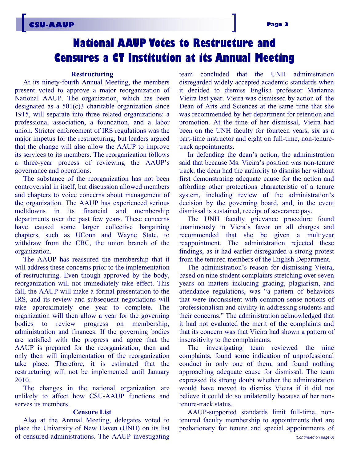# **National AAUP Votes to Restructure and Censures a CT Institution at its Annual Meeting**

#### **Restructuring**

At its ninety-fourth Annual Meeting, the members present voted to approve a major reorganization of National AAUP. The organization, which has been designated as a 501(c)3 charitable organization since 1915, will separate into three related organizations: a professional association, a foundation, and a labor union. Stricter enforcement of IRS regulations was the major impetus for the restructuring, but leaders argued that the change will also allow the AAUP to improve its services to its members. The reorganization follows a three-year process of reviewing the AAUP's governance and operations.

The substance of the reorganization has not been controversial in itself, but discussion allowed members and chapters to voice concerns about management of the organization. The AAUP has experienced serious meltdowns in its financial and membership departments over the past few years. These concerns have caused some larger collective bargaining chapters, such as UConn and Wayne State, to withdraw from the CBC, the union branch of the organization.

The AAUP has reassured the membership that it will address these concerns prior to the implementation of restructuring. Even though approved by the body, reorganization will not immediately take effect. This fall, the AAUP will make a formal presentation to the IRS, and its review and subsequent negotiations will take approximately one year to complete. The organization will then allow a year for the governing bodies to review progress on membership, administration and finances. If the governing bodies are satisfied with the progress and agree that the AAUP is prepared for the reorganization, then and only then will implementation of the reorganization take place. Therefore, it is estimated that the restructuring will not be implemented until January 2010.

The changes in the national organization are unlikely to affect how CSU-AAUP functions and serves its members.

#### **Censure List**

Also at the Annual Meeting, delegates voted to place the University of New Haven (UNH) on its list of censured administrations. The AAUP investigating team concluded that the UNH administration disregarded widely accepted academic standards when it decided to dismiss English professor Marianna Vieira last year. Vieira was dismissed by action of the Dean of Arts and Sciences at the same time that she was recommended by her department for retention and promotion. At the time of her dismissal, Vieira had been on the UNH faculty for fourteen years, six as a part-time instructor and eight on full-time, non-tenuretrack appointments.

In defending the dean's action, the administration said that because Ms. Vieira's position was non-tenure track, the dean had the authority to dismiss her without first demonstrating adequate cause for the action and affording other protections characteristic of a tenure system, including review of the administration's decision by the governing board, and, in the event dismissal is sustained, receipt of severance pay.

The UNH faculty grievance procedure found unanimously in Viera's favor on all charges and recommended that she be given a multiyear reappointment. The administration rejected these findings, as it had earlier disregarded a strong protest from the tenured members of the English Department.

The administration's reason for dismissing Vieira, based on nine student complaints stretching over seven years on matters including grading, plagiarism, and attendance regulations, was "a pattern of behaviors that were inconsistent with common sense notions of professionalism and civility in addressing students and their concerns." The administration acknowledged that it had not evaluated the merit of the complaints and that its concern was that Vieira had shown a pattern of insensitivity to the complainants.

The investigating team reviewed the nine complaints, found some indication of unprofessional conduct in only one of them, and found nothing approaching adequate cause for dismissal. The team expressed its strong doubt whether the administration would have moved to dismiss Vieira if it did not believe it could do so unilaterally because of her nontenure-track status.

AAUP-supported standards limit full-time, nontenured faculty membership to appointments that are probationary for tenure and special appointments of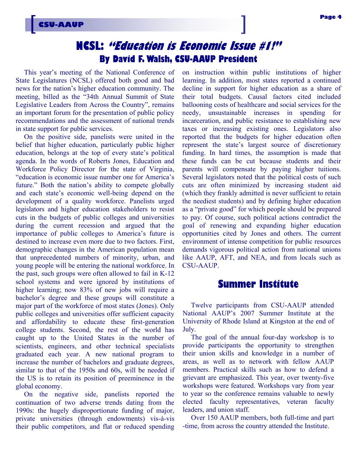# **NCSL: "Education is Economic Issue #1!" By David F. Walsh, CSU-AAUP President**

This year's meeting of the National Conference of State Legislatures (NCSL) offered both good and bad news for the nation's higher education community. The meeting, billed as the "34th Annual Summit of State Legislative Leaders from Across the Country", remains an important forum for the presentation of public policy recommendations and the assessment of national trends in state support for public services.

On the positive side, panelists were united in the belief that higher education, particularly public higher education, belongs at the top of every state's political agenda. In the words of Roberts Jones, Education and Workforce Policy Director for the state of Virginia, "education is economic issue number one for America's future." Both the nation's ability to compete globally and each state's economic well-being depend on the development of a quality workforce. Panelists urged legislators and higher education stakeholders to resist cuts in the budgets of public colleges and universities during the current recession and argued that the importance of public colleges to America's future is destined to increase even more due to two factors. First, demographic changes in the American population mean that unprecedented numbers of minority, urban, and young people will be entering the national workforce. In the past, such groups were often allowed to fail in K-12 school systems and were ignored by institutions of higher learning; now 83% of new jobs will require a bachelor's degree and these groups will constitute a major part of the workforce of most states (Jones). Only public colleges and universities offer sufficient capacity and affordability to educate these first-generation college students. Second, the rest of the world has caught up to the United States in the number of scientists, engineers, and other technical specialists graduated each year. A new national program to increase the number of bachelors and graduate degrees, similar to that of the 1950s and 60s, will be needed if the US is to retain its position of preeminence in the global economy.

On the negative side, panelists reported the continuation of two adverse trends dating from the 1990s: the hugely disproportionate funding of major, private universities (through endowments) vis-à-vis their public competitors, and flat or reduced spending on instruction within public institutions of higher learning. In addition, most states reported a continued decline in support for higher education as a share of their total budgets. Causal factors cited included ballooning costs of healthcare and social services for the needy, unsustainable increases in spending for incarceration, and public resistance to establishing new taxes or increasing existing ones. Legislators also reported that the budgets for higher education often represent the state's largest source of discretionary funding. In hard times, the assumption is made that these funds can be cut because students and their parents will compensate by paying higher tuitions. Several legislators noted that the political costs of such cuts are often minimized by increasing student aid (which they frankly admitted is never sufficient to retain the neediest students) and by defining higher education as a "private good" for which people should be prepared to pay. Of course, such political actions contradict the goal of renewing and expanding higher education opportunities cited by Jones and others. The current environment of intense competition for public resources demands vigorous political action from national unions like AAUP, AFT, and NEA, and from locals such as CSU-AAUP.

### **Summer Institute**

Twelve participants from CSU-AAUP attended National AAUP's 2007 Summer Institute at the University of Rhode Island at Kingston at the end of July.

The goal of the annual four-day workshop is to provide participants the opportunity to strengthen their union skills and knowledge in a number of areas, as well as to network with fellow AAUP members. Practical skills such as how to defend a grievant are emphasized. This year, over twenty-five workshops were featured. Workshops vary from year to year so the conference remains valuable to newly elected faculty representatives, veteran faculty leaders, and union staff.

Over 150 AAUP members, both full-time and part -time, from across the country attended the Institute.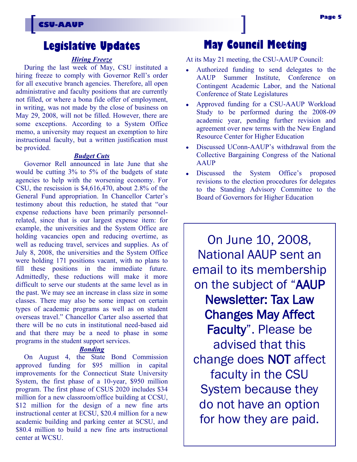## **Legislative Updates**

#### *Hiring Freeze*

During the last week of May, CSU instituted a hiring freeze to comply with Governor Rell's order for all executive branch agencies. Therefore, all open administrative and faculty positions that are currently not filled, or where a bona fide offer of employment, in writing, was not made by the close of business on May 29, 2008, will not be filled. However, there are some exceptions. According to a System Office memo, a university may request an exemption to hire instructional faculty, but a written justification must be provided.

#### *Budget Cuts*

Governor Rell announced in late June that she would be cutting 3% to 5% of the budgets of state agencies to help with the worsening economy. For CSU, the rescission is \$4,616,470, about 2.8% of the General Fund appropriation. In Chancellor Carter's testimony about this reduction, he stated that "our expense reductions have been primarily personnelrelated, since that is our largest expense item: for example, the universities and the System Office are holding vacancies open and reducing overtime, as well as reducing travel, services and supplies. As of July 8, 2008, the universities and the System Office were holding 171 positions vacant, with no plans to fill these positions in the immediate future. Admittedly, these reductions will make it more difficult to serve our students at the same level as in the past. We may see an increase in class size in some classes. There may also be some impact on certain types of academic programs as well as on student overseas travel." Chancellor Carter also asserted that there will be no cuts in institutional need-based aid and that there may be a need to phase in some programs in the student support services.

#### *Bonding*

On August 4, the State Bond Commission approved funding for \$95 million in capital improvements for the Connecticut State University System, the first phase of a 10-year, \$950 million program. The first phase of CSUS 2020 includes \$34 million for a new classroom/office building at CCSU, \$12 million for the design of a new fine arts instructional center at ECSU, \$20.4 million for a new academic building and parking center at SCSU, and \$80.4 million to build a new fine arts instructional center at WCSU.

## **May Council Meeting**

At its May 21 meeting, the CSU-AAUP Council:

- Authorized funding to send delegates to the AAUP Summer Institute, Conference on Contingent Academic Labor, and the National Conference of State Legislatures
- Approved funding for a CSU-AAUP Workload Study to be performed during the 2008-09 academic year, pending further revision and agreement over new terms with the New England Resource Center for Higher Education
- Discussed UConn-AAUP's withdrawal from the Collective Bargaining Congress of the National AAUP
- Discussed the System Office's proposed revisions to the election procedures for delegates to the Standing Advisory Committee to the Board of Governors for Higher Education

On June 10, 2008, National AAUP sent an email to its membership on the subject of "AAUP Newsletter: Tax Law Changes May Affect Faculty". Please be advised that this change does NOT affect faculty in the CSU System because they do not have an option for how they are paid.